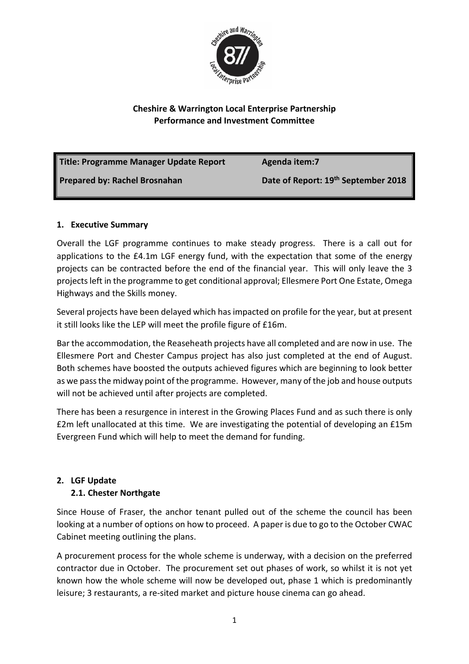

## **Cheshire & Warrington Local Enterprise Partnership Performance and Investment Committee**

| Title: Programme Manager Update Report | Agenda item:7                       |
|----------------------------------------|-------------------------------------|
| Prepared by: Rachel Brosnahan          | Date of Report: 19th September 2018 |

## **1. Executive Summary**

Overall the LGF programme continues to make steady progress. There is a call out for applications to the £4.1m LGF energy fund, with the expectation that some of the energy projects can be contracted before the end of the financial year. This will only leave the 3 projects left in the programme to get conditional approval; Ellesmere Port One Estate, Omega Highways and the Skills money.

Several projects have been delayed which has impacted on profile for the year, but at present it still looks like the LEP will meet the profile figure of £16m.

Bar the accommodation, the Reaseheath projects have all completed and are now in use. The Ellesmere Port and Chester Campus project has also just completed at the end of August. Both schemes have boosted the outputs achieved figures which are beginning to look better as we pass the midway point of the programme. However, many of the job and house outputs will not be achieved until after projects are completed.

There has been a resurgence in interest in the Growing Places Fund and as such there is only £2m left unallocated at this time. We are investigating the potential of developing an £15m Evergreen Fund which will help to meet the demand for funding.

## **2. LGF Update**

## **2.1. Chester Northgate**

Since House of Fraser, the anchor tenant pulled out of the scheme the council has been looking at a number of options on how to proceed. A paper is due to go to the October CWAC Cabinet meeting outlining the plans.

A procurement process for the whole scheme is underway, with a decision on the preferred contractor due in October. The procurement set out phases of work, so whilst it is not yet known how the whole scheme will now be developed out, phase 1 which is predominantly leisure; 3 restaurants, a re-sited market and picture house cinema can go ahead.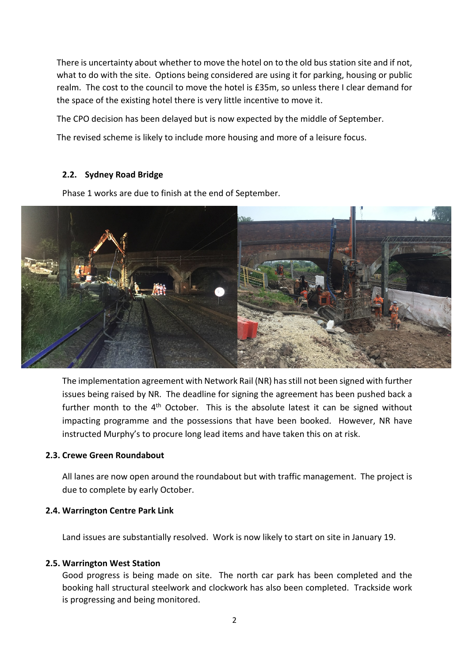There is uncertainty about whether to move the hotel on to the old bus station site and if not, what to do with the site. Options being considered are using it for parking, housing or public realm. The cost to the council to move the hotel is £35m, so unless there I clear demand for the space of the existing hotel there is very little incentive to move it.

The CPO decision has been delayed but is now expected by the middle of September.

The revised scheme is likely to include more housing and more of a leisure focus.

#### **2.2. Sydney Road Bridge**

Phase 1 works are due to finish at the end of September.



The implementation agreement with Network Rail (NR) has still not been signed with further issues being raised by NR. The deadline for signing the agreement has been pushed back a further month to the  $4<sup>th</sup>$  October. This is the absolute latest it can be signed without impacting programme and the possessions that have been booked. However, NR have instructed Murphy's to procure long lead items and have taken this on at risk.

#### **2.3. Crewe Green Roundabout**

All lanes are now open around the roundabout but with traffic management. The project is due to complete by early October.

#### **2.4. Warrington Centre Park Link**

Land issues are substantially resolved. Work is now likely to start on site in January 19.

#### **2.5. Warrington West Station**

Good progress is being made on site. The north car park has been completed and the booking hall structural steelwork and clockwork has also been completed. Trackside work is progressing and being monitored.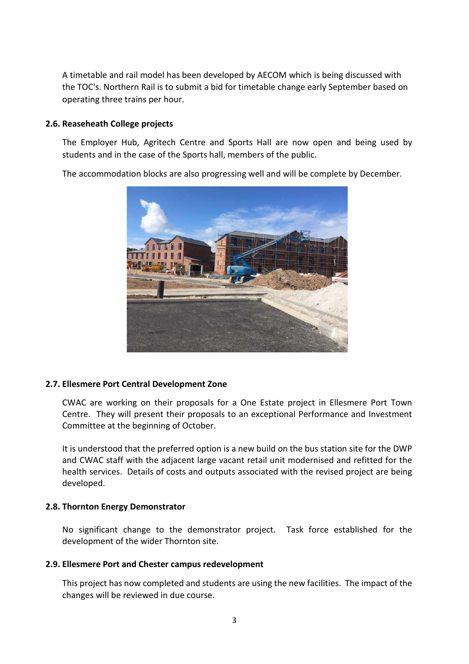A timetable and rail model has been developed by AECOM which is being discussed with the TOC's. Northern Rail is to submit a bid for timetable change early September based on operating three trains per hour.

#### **2.6. Reaseheath College projects**

The Employer Hub, Agritech Centre and Sports Hall are now open and being used by students and in the case of the Sports hall, members of the public.

The accommodation blocks are also progressing well and will be complete by December.



#### **2.7. Ellesmere Port Central Development Zone**

CWAC are working on their proposals for a One Estate project in Ellesmere Port Town Centre. They will present their proposals to an exceptional Performance and Investment Committee at the beginning of October.

It is understood that the preferred option is a new build on the bus station site for the DWP and CWAC staff with the adjacent large vacant retail unit modernised and refitted for the health services. Details of costs and outputs associated with the revised project are being developed.

#### **2.8. Thornton Energy Demonstrator**

No significant change to the demonstrator project. Task force established for the development of the wider Thornton site.

#### **2.9. Ellesmere Port and Chester campus redevelopment**

This project has now completed and students are using the new facilities. The impact of the changes will be reviewed in due course.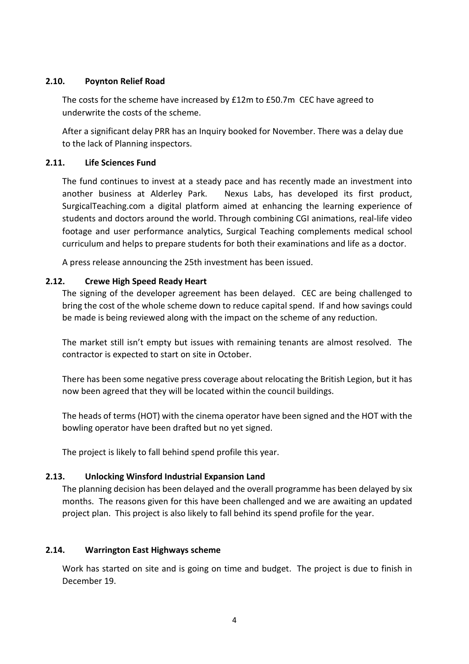#### **2.10. Poynton Relief Road**

The costs for the scheme have increased by £12m to £50.7m CEC have agreed to underwrite the costs of the scheme.

After a significant delay PRR has an Inquiry booked for November. There was a delay due to the lack of Planning inspectors.

#### **2.11. Life Sciences Fund**

The fund continues to invest at a steady pace and has recently made an investment into another business at Alderley Park. Nexus Labs, has developed its first product, SurgicalTeaching.com a digital platform aimed at enhancing the learning experience of students and doctors around the world. Through combining CGI animations, real-life video footage and user performance analytics, Surgical Teaching complements medical school curriculum and helps to prepare students for both their examinations and life as a doctor.

A press release announcing the 25th investment has been issued.

## **2.12. Crewe High Speed Ready Heart**

The signing of the developer agreement has been delayed. CEC are being challenged to bring the cost of the whole scheme down to reduce capital spend. If and how savings could be made is being reviewed along with the impact on the scheme of any reduction.

The market still isn't empty but issues with remaining tenants are almost resolved. The contractor is expected to start on site in October.

There has been some negative press coverage about relocating the British Legion, but it has now been agreed that they will be located within the council buildings.

The heads of terms (HOT) with the cinema operator have been signed and the HOT with the bowling operator have been drafted but no yet signed.

The project is likely to fall behind spend profile this year.

## **2.13. Unlocking Winsford Industrial Expansion Land**

The planning decision has been delayed and the overall programme has been delayed by six months. The reasons given for this have been challenged and we are awaiting an updated project plan. This project is also likely to fall behind its spend profile for the year.

#### **2.14. Warrington East Highways scheme**

Work has started on site and is going on time and budget. The project is due to finish in December 19.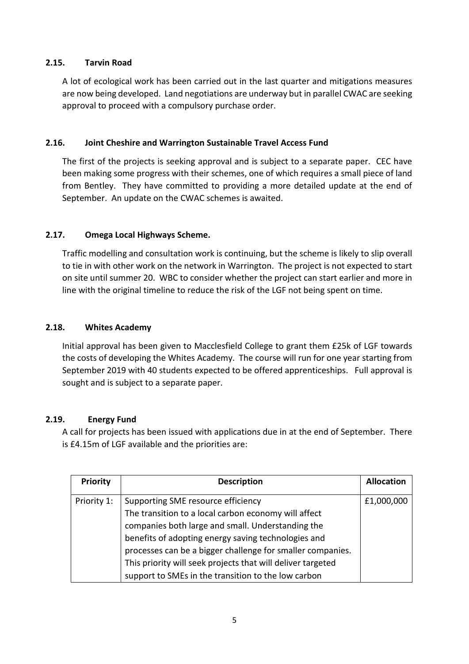## **2.15. Tarvin Road**

A lot of ecological work has been carried out in the last quarter and mitigations measures are now being developed. Land negotiations are underway but in parallel CWAC are seeking approval to proceed with a compulsory purchase order.

#### **2.16. Joint Cheshire and Warrington Sustainable Travel Access Fund**

The first of the projects is seeking approval and is subject to a separate paper. CEC have been making some progress with their schemes, one of which requires a small piece of land from Bentley. They have committed to providing a more detailed update at the end of September. An update on the CWAC schemes is awaited.

#### **2.17. Omega Local Highways Scheme.**

Traffic modelling and consultation work is continuing, but the scheme is likely to slip overall to tie in with other work on the network in Warrington. The project is not expected to start on site until summer 20. WBC to consider whether the project can start earlier and more in line with the original timeline to reduce the risk of the LGF not being spent on time.

#### **2.18. Whites Academy**

Initial approval has been given to Macclesfield College to grant them £25k of LGF towards the costs of developing the Whites Academy. The course will run for one year starting from September 2019 with 40 students expected to be offered apprenticeships. Full approval is sought and is subject to a separate paper.

#### **2.19. Energy Fund**

A call for projects has been issued with applications due in at the end of September. There is £4.15m of LGF available and the priorities are:

| <b>Priority</b> | <b>Description</b>                                          | <b>Allocation</b> |
|-----------------|-------------------------------------------------------------|-------------------|
| Priority 1:     | Supporting SME resource efficiency                          | £1,000,000        |
|                 | The transition to a local carbon economy will affect        |                   |
|                 | companies both large and small. Understanding the           |                   |
|                 | benefits of adopting energy saving technologies and         |                   |
|                 | processes can be a bigger challenge for smaller companies.  |                   |
|                 | This priority will seek projects that will deliver targeted |                   |
|                 | support to SMEs in the transition to the low carbon         |                   |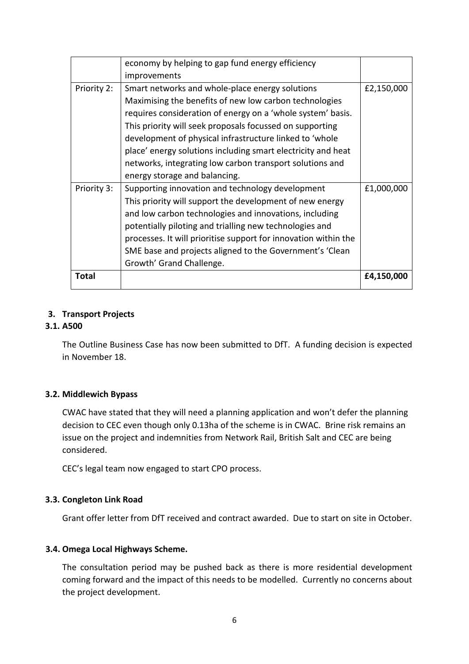|              | economy by helping to gap fund energy efficiency                |            |
|--------------|-----------------------------------------------------------------|------------|
|              | improvements                                                    |            |
| Priority 2:  | Smart networks and whole-place energy solutions                 | £2,150,000 |
|              | Maximising the benefits of new low carbon technologies          |            |
|              | requires consideration of energy on a 'whole system' basis.     |            |
|              | This priority will seek proposals focussed on supporting        |            |
|              | development of physical infrastructure linked to 'whole         |            |
|              | place' energy solutions including smart electricity and heat    |            |
|              | networks, integrating low carbon transport solutions and        |            |
|              | energy storage and balancing.                                   |            |
| Priority 3:  | Supporting innovation and technology development                | £1,000,000 |
|              | This priority will support the development of new energy        |            |
|              | and low carbon technologies and innovations, including          |            |
|              | potentially piloting and trialling new technologies and         |            |
|              | processes. It will prioritise support for innovation within the |            |
|              | SME base and projects aligned to the Government's 'Clean        |            |
|              | Growth' Grand Challenge.                                        |            |
| <b>Total</b> |                                                                 | £4,150,000 |

#### **3. Transport Projects**

#### **3.1. A500**

The Outline Business Case has now been submitted to DfT. A funding decision is expected in November 18.

## **3.2. Middlewich Bypass**

CWAC have stated that they will need a planning application and won't defer the planning decision to CEC even though only 0.13ha of the scheme is in CWAC. Brine risk remains an issue on the project and indemnities from Network Rail, British Salt and CEC are being considered.

CEC's legal team now engaged to start CPO process.

#### **3.3. Congleton Link Road**

Grant offer letter from DfT received and contract awarded. Due to start on site in October.

#### **3.4. Omega Local Highways Scheme.**

The consultation period may be pushed back as there is more residential development coming forward and the impact of this needs to be modelled. Currently no concerns about the project development.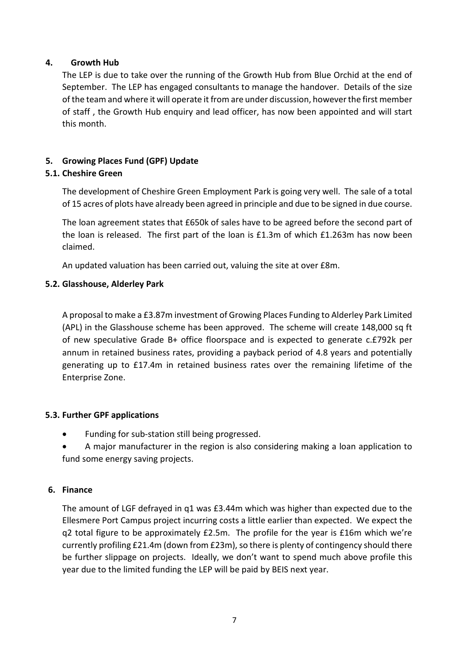## **4. Growth Hub**

The LEP is due to take over the running of the Growth Hub from Blue Orchid at the end of September. The LEP has engaged consultants to manage the handover. Details of the size of the team and where it will operate it from are under discussion, however the first member of staff , the Growth Hub enquiry and lead officer, has now been appointed and will start this month.

## **5. Growing Places Fund (GPF) Update**

## **5.1. Cheshire Green**

The development of Cheshire Green Employment Park is going very well. The sale of a total of 15 acres of plots have already been agreed in principle and due to be signed in due course.

The loan agreement states that £650k of sales have to be agreed before the second part of the loan is released. The first part of the loan is £1.3m of which £1.263m has now been claimed.

An updated valuation has been carried out, valuing the site at over £8m.

#### **5.2. Glasshouse, Alderley Park**

A proposal to make a £3.87m investment of Growing Places Funding to Alderley Park Limited (APL) in the Glasshouse scheme has been approved. The scheme will create 148,000 sq ft of new speculative Grade B+ office floorspace and is expected to generate c.£792k per annum in retained business rates, providing a payback period of 4.8 years and potentially generating up to £17.4m in retained business rates over the remaining lifetime of the Enterprise Zone.

## **5.3. Further GPF applications**

- Funding for sub-station still being progressed.
- A major manufacturer in the region is also considering making a loan application to fund some energy saving projects.

## **6. Finance**

The amount of LGF defrayed in q1 was £3.44m which was higher than expected due to the Ellesmere Port Campus project incurring costs a little earlier than expected. We expect the q2 total figure to be approximately £2.5m. The profile for the year is £16m which we're currently profiling £21.4m (down from £23m), so there is plenty of contingency should there be further slippage on projects. Ideally, we don't want to spend much above profile this year due to the limited funding the LEP will be paid by BEIS next year.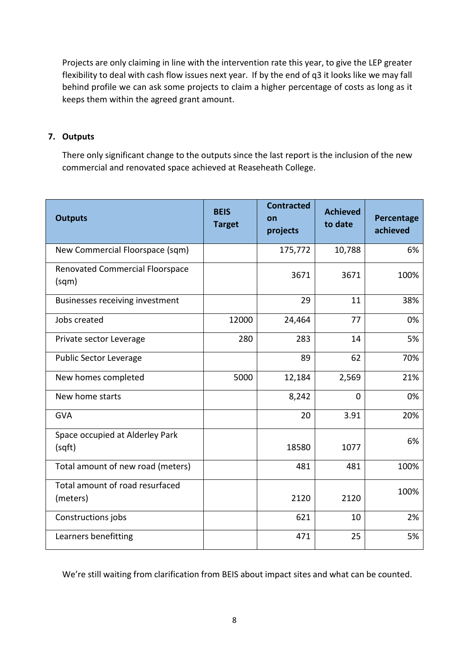Projects are only claiming in line with the intervention rate this year, to give the LEP greater flexibility to deal with cash flow issues next year. If by the end of q3 it looks like we may fall behind profile we can ask some projects to claim a higher percentage of costs as long as it keeps them within the agreed grant amount.

## **7. Outputs**

There only significant change to the outputs since the last report is the inclusion of the new commercial and renovated space achieved at Reaseheath College.

| <b>Outputs</b>                                  | <b>BEIS</b><br><b>Target</b> | <b>Contracted</b><br>on<br>projects | <b>Achieved</b><br>to date | Percentage<br>achieved |
|-------------------------------------------------|------------------------------|-------------------------------------|----------------------------|------------------------|
| New Commercial Floorspace (sqm)                 |                              | 175,772                             | 10,788                     | 6%                     |
| <b>Renovated Commercial Floorspace</b><br>(sqm) |                              | 3671                                | 3671                       | 100%                   |
| Businesses receiving investment                 |                              | 29                                  | 11                         | 38%                    |
| Jobs created                                    | 12000                        | 24,464                              | 77                         | 0%                     |
| Private sector Leverage                         | 280                          | 283                                 | 14                         | 5%                     |
| <b>Public Sector Leverage</b>                   |                              | 89                                  | 62                         | 70%                    |
| New homes completed                             | 5000                         | 12,184                              | 2,569                      | 21%                    |
| New home starts                                 |                              | 8,242                               | $\mathbf 0$                | 0%                     |
| <b>GVA</b>                                      |                              | 20                                  | 3.91                       | 20%                    |
| Space occupied at Alderley Park<br>(sqft)       |                              | 18580                               | 1077                       | 6%                     |
| Total amount of new road (meters)               |                              | 481                                 | 481                        | 100%                   |
| Total amount of road resurfaced<br>(meters)     |                              | 2120                                | 2120                       | 100%                   |
| Constructions jobs                              |                              | 621                                 | 10                         | 2%                     |
| Learners benefitting                            |                              | 471                                 | 25                         | 5%                     |

We're still waiting from clarification from BEIS about impact sites and what can be counted.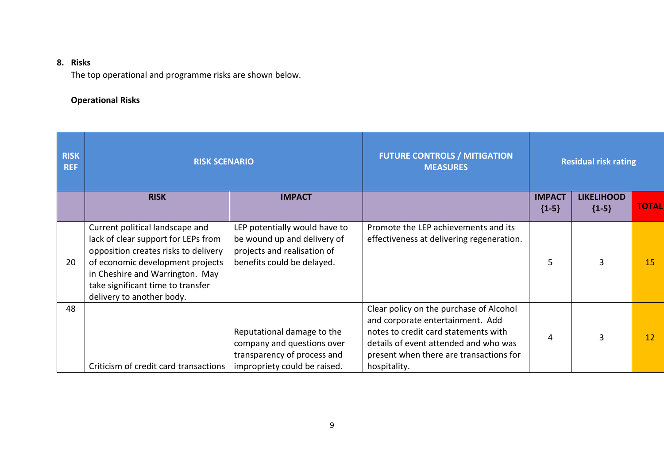## **8. Risks**

The top operational and programme risks are shown below.

# **Operational Risks**

| <b>RISK</b><br><b>REF</b> | <b>RISK SCENARIO</b>                                                                                                                                                                                                                                    |                                                                                                                           | <b>FUTURE CONTROLS / MITIGATION</b><br><b>MEASURES</b>                                                                                                                                                                  |                          | <b>Residual risk rating</b>  |              |
|---------------------------|---------------------------------------------------------------------------------------------------------------------------------------------------------------------------------------------------------------------------------------------------------|---------------------------------------------------------------------------------------------------------------------------|-------------------------------------------------------------------------------------------------------------------------------------------------------------------------------------------------------------------------|--------------------------|------------------------------|--------------|
|                           | <b>RISK</b>                                                                                                                                                                                                                                             | <b>IMPACT</b>                                                                                                             |                                                                                                                                                                                                                         | <b>IMPACT</b><br>${1-5}$ | <b>LIKELIHOOD</b><br>${1-5}$ | <b>TOTAL</b> |
| 20                        | Current political landscape and<br>lack of clear support for LEPs from<br>opposition creates risks to delivery<br>of economic development projects<br>in Cheshire and Warrington. May<br>take significant time to transfer<br>delivery to another body. | LEP potentially would have to<br>be wound up and delivery of<br>projects and realisation of<br>benefits could be delayed. | Promote the LEP achievements and its<br>effectiveness at delivering regeneration.                                                                                                                                       | 5                        | 3                            | 15           |
| 48                        | Criticism of credit card transactions                                                                                                                                                                                                                   | Reputational damage to the<br>company and questions over<br>transparency of process and<br>impropriety could be raised.   | Clear policy on the purchase of Alcohol<br>and corporate entertainment. Add<br>notes to credit card statements with<br>details of event attended and who was<br>present when there are transactions for<br>hospitality. | 4                        | 3                            | 12           |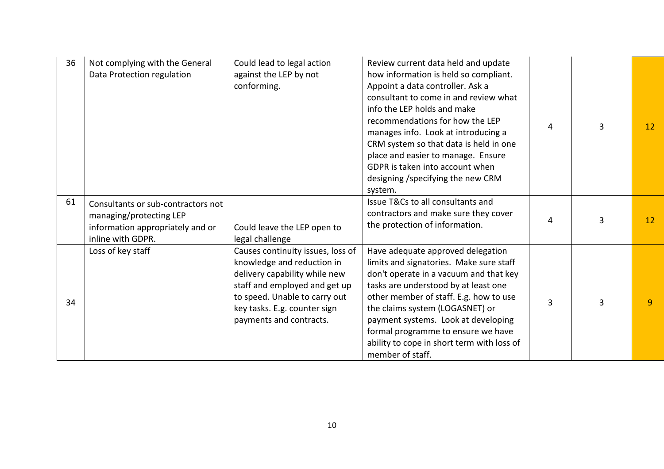| 36 | Not complying with the General<br>Data Protection regulation                                                           | Could lead to legal action<br>against the LEP by not<br>conforming.                                                                                                                                                           | Review current data held and update<br>how information is held so compliant.<br>Appoint a data controller. Ask a<br>consultant to come in and review what<br>info the LEP holds and make<br>recommendations for how the LEP<br>manages info. Look at introducing a<br>CRM system so that data is held in one<br>place and easier to manage. Ensure<br>GDPR is taken into account when<br>designing / specifying the new CRM<br>system. | 4 | 3 | 12             |
|----|------------------------------------------------------------------------------------------------------------------------|-------------------------------------------------------------------------------------------------------------------------------------------------------------------------------------------------------------------------------|----------------------------------------------------------------------------------------------------------------------------------------------------------------------------------------------------------------------------------------------------------------------------------------------------------------------------------------------------------------------------------------------------------------------------------------|---|---|----------------|
| 61 | Consultants or sub-contractors not<br>managing/protecting LEP<br>information appropriately and or<br>inline with GDPR. | Could leave the LEP open to<br>legal challenge                                                                                                                                                                                | Issue T&Cs to all consultants and<br>contractors and make sure they cover<br>the protection of information.                                                                                                                                                                                                                                                                                                                            | 4 | 3 | 12             |
| 34 | Loss of key staff                                                                                                      | Causes continuity issues, loss of<br>knowledge and reduction in<br>delivery capability while new<br>staff and employed and get up<br>to speed. Unable to carry out<br>key tasks. E.g. counter sign<br>payments and contracts. | Have adequate approved delegation<br>limits and signatories. Make sure staff<br>don't operate in a vacuum and that key<br>tasks are understood by at least one<br>other member of staff. E.g. how to use<br>the claims system (LOGASNET) or<br>payment systems. Look at developing<br>formal programme to ensure we have<br>ability to cope in short term with loss of<br>member of staff.                                             | 3 | 3 | $\overline{9}$ |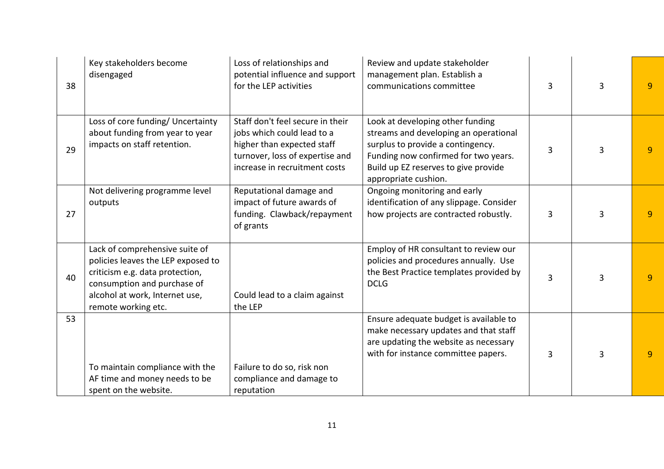| 38 | Key stakeholders become<br>disengaged                                                                                                                                                           | Loss of relationships and<br>potential influence and support<br>for the LEP activities                                                                           | Review and update stakeholder<br>management plan. Establish a<br>communications committee                                                                                                                              | 3              | 3 | $\mathbf{q}$   |
|----|-------------------------------------------------------------------------------------------------------------------------------------------------------------------------------------------------|------------------------------------------------------------------------------------------------------------------------------------------------------------------|------------------------------------------------------------------------------------------------------------------------------------------------------------------------------------------------------------------------|----------------|---|----------------|
| 29 | Loss of core funding/ Uncertainty<br>about funding from year to year<br>impacts on staff retention.                                                                                             | Staff don't feel secure in their<br>jobs which could lead to a<br>higher than expected staff<br>turnover, loss of expertise and<br>increase in recruitment costs | Look at developing other funding<br>streams and developing an operational<br>surplus to provide a contingency.<br>Funding now confirmed for two years.<br>Build up EZ reserves to give provide<br>appropriate cushion. | 3              | 3 | 9              |
| 27 | Not delivering programme level<br>outputs                                                                                                                                                       | Reputational damage and<br>impact of future awards of<br>funding. Clawback/repayment<br>of grants                                                                | Ongoing monitoring and early<br>identification of any slippage. Consider<br>how projects are contracted robustly.                                                                                                      | 3              | 3 | 9              |
| 40 | Lack of comprehensive suite of<br>policies leaves the LEP exposed to<br>criticism e.g. data protection,<br>consumption and purchase of<br>alcohol at work, Internet use,<br>remote working etc. | Could lead to a claim against<br>the LEP                                                                                                                         | Employ of HR consultant to review our<br>policies and procedures annually. Use<br>the Best Practice templates provided by<br><b>DCLG</b>                                                                               | $\overline{3}$ |   | $\overline{9}$ |
| 53 | To maintain compliance with the<br>AF time and money needs to be<br>spent on the website.                                                                                                       | Failure to do so, risk non<br>compliance and damage to<br>reputation                                                                                             | Ensure adequate budget is available to<br>make necessary updates and that staff<br>are updating the website as necessary<br>with for instance committee papers.                                                        | 3              | 3 | $\mathbf{q}$   |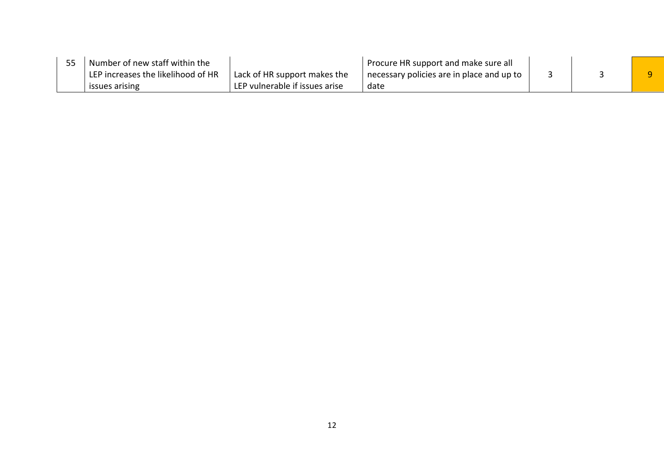| I Number of new staff within the   |                                | Procure HR support and make sure all      |  |    |
|------------------------------------|--------------------------------|-------------------------------------------|--|----|
| LEP increases the likelihood of HR | Lack of HR support makes the   | necessary policies are in place and up to |  | O. |
| issues arising                     | LEP vulnerable if issues arise | date                                      |  |    |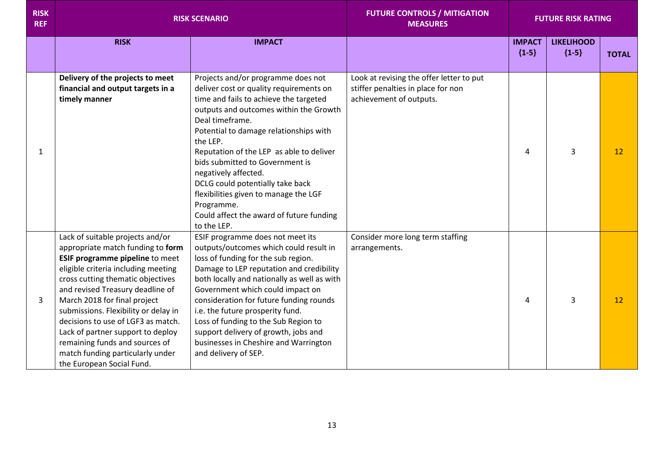| <b>RISK</b><br><b>REF</b> |                                                                                                                                                                                                                                                                                                                                                                                                                                                                                       | <b>RISK SCENARIO</b>                                                                                                                                                                                                                                                                                                                                                                                                                                                                                    | <b>FUTURE CONTROLS / MITIGATION</b><br><b>MEASURES</b>                                                    |                          | <b>FUTURE RISK RATING</b>    |              |
|---------------------------|---------------------------------------------------------------------------------------------------------------------------------------------------------------------------------------------------------------------------------------------------------------------------------------------------------------------------------------------------------------------------------------------------------------------------------------------------------------------------------------|---------------------------------------------------------------------------------------------------------------------------------------------------------------------------------------------------------------------------------------------------------------------------------------------------------------------------------------------------------------------------------------------------------------------------------------------------------------------------------------------------------|-----------------------------------------------------------------------------------------------------------|--------------------------|------------------------------|--------------|
|                           | <b>RISK</b>                                                                                                                                                                                                                                                                                                                                                                                                                                                                           | <b>IMPACT</b>                                                                                                                                                                                                                                                                                                                                                                                                                                                                                           |                                                                                                           | <b>IMPACT</b><br>${1-5}$ | <b>LIKELIHOOD</b><br>${1-5}$ | <b>TOTAL</b> |
| 1                         | Delivery of the projects to meet<br>financial and output targets in a<br>timely manner                                                                                                                                                                                                                                                                                                                                                                                                | Projects and/or programme does not<br>deliver cost or quality requirements on<br>time and fails to achieve the targeted<br>outputs and outcomes within the Growth<br>Deal timeframe.<br>Potential to damage relationships with<br>the LEP.<br>Reputation of the LEP as able to deliver<br>bids submitted to Government is<br>negatively affected.<br>DCLG could potentially take back<br>flexibilities given to manage the LGF<br>Programme.<br>Could affect the award of future funding<br>to the LEP. | Look at revising the offer letter to put<br>stiffer penalties in place for non<br>achievement of outputs. | 4                        | 3                            | 12           |
| 3                         | Lack of suitable projects and/or<br>appropriate match funding to form<br><b>ESIF programme pipeline to meet</b><br>eligible criteria including meeting<br>cross cutting thematic objectives<br>and revised Treasury deadline of<br>March 2018 for final project<br>submissions. Flexibility or delay in<br>decisions to use of LGF3 as match.<br>Lack of partner support to deploy<br>remaining funds and sources of<br>match funding particularly under<br>the European Social Fund. | ESIF programme does not meet its<br>outputs/outcomes which could result in<br>loss of funding for the sub region.<br>Damage to LEP reputation and credibility<br>both locally and nationally as well as with<br>Government which could impact on<br>consideration for future funding rounds<br>i.e. the future prosperity fund.<br>Loss of funding to the Sub Region to<br>support delivery of growth, jobs and<br>businesses in Cheshire and Warrington<br>and delivery of SEP.                        | Consider more long term staffing<br>arrangements.                                                         | 4                        | 3                            | 12           |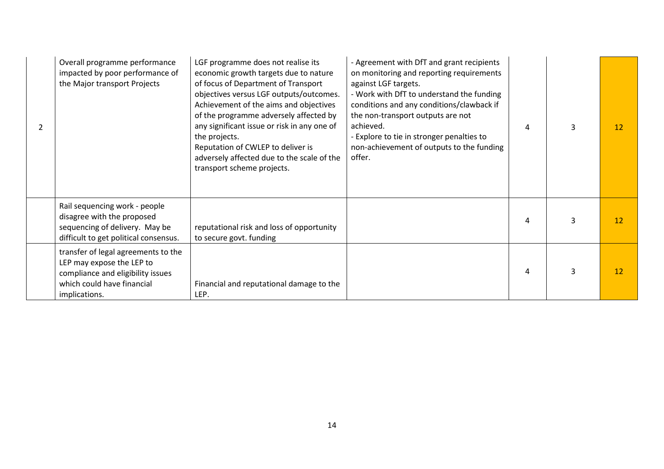| $\mathcal{L}$ | Overall programme performance<br>impacted by poor performance of<br>the Major transport Projects                                                     | LGF programme does not realise its<br>economic growth targets due to nature<br>of focus of Department of Transport<br>objectives versus LGF outputs/outcomes.<br>Achievement of the aims and objectives<br>of the programme adversely affected by<br>any significant issue or risk in any one of<br>the projects.<br>Reputation of CWLEP to deliver is<br>adversely affected due to the scale of the<br>transport scheme projects. | - Agreement with DfT and grant recipients<br>on monitoring and reporting requirements<br>against LGF targets.<br>- Work with DfT to understand the funding<br>conditions and any conditions/clawback if<br>the non-transport outputs are not<br>achieved.<br>- Explore to tie in stronger penalties to<br>non-achievement of outputs to the funding<br>offer. | Δ | 3            | 12 |
|---------------|------------------------------------------------------------------------------------------------------------------------------------------------------|------------------------------------------------------------------------------------------------------------------------------------------------------------------------------------------------------------------------------------------------------------------------------------------------------------------------------------------------------------------------------------------------------------------------------------|---------------------------------------------------------------------------------------------------------------------------------------------------------------------------------------------------------------------------------------------------------------------------------------------------------------------------------------------------------------|---|--------------|----|
|               | Rail sequencing work - people<br>disagree with the proposed<br>sequencing of delivery. May be<br>difficult to get political consensus.               | reputational risk and loss of opportunity<br>to secure govt. funding                                                                                                                                                                                                                                                                                                                                                               |                                                                                                                                                                                                                                                                                                                                                               | 4 |              | 12 |
|               | transfer of legal agreements to the<br>LEP may expose the LEP to<br>compliance and eligibility issues<br>which could have financial<br>implications. | Financial and reputational damage to the<br>LEP.                                                                                                                                                                                                                                                                                                                                                                                   |                                                                                                                                                                                                                                                                                                                                                               | 4 | $\mathbf{R}$ | 12 |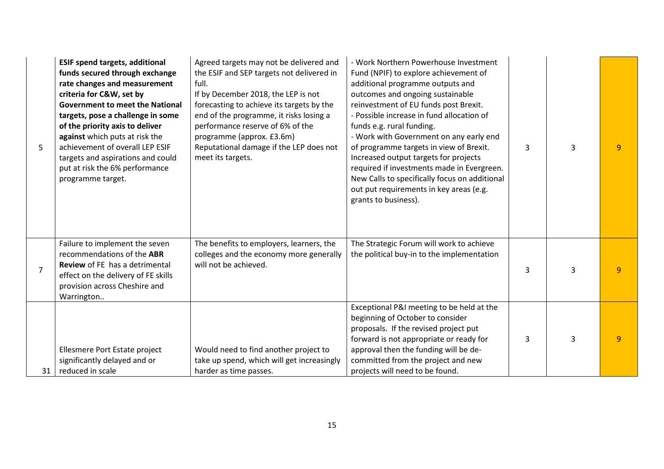| 5              | <b>ESIF spend targets, additional</b><br>funds secured through exchange<br>rate changes and measurement<br>criteria for C&W, set by<br><b>Government to meet the National</b><br>targets, pose a challenge in some<br>of the priority axis to deliver<br>against which puts at risk the<br>achievement of overall LEP ESIF<br>targets and aspirations and could<br>put at risk the 6% performance<br>programme target. | Agreed targets may not be delivered and<br>the ESIF and SEP targets not delivered in<br>full.<br>If by December 2018, the LEP is not<br>forecasting to achieve its targets by the<br>end of the programme, it risks losing a<br>performance reserve of 6% of the<br>programme (approx. £3.6m)<br>Reputational damage if the LEP does not<br>meet its targets. | - Work Northern Powerhouse Investment<br>Fund (NPIF) to explore achievement of<br>additional programme outputs and<br>outcomes and ongoing sustainable<br>reinvestment of EU funds post Brexit.<br>- Possible increase in fund allocation of<br>funds e.g. rural funding.<br>- Work with Government on any early end<br>of programme targets in view of Brexit.<br>Increased output targets for projects<br>required if investments made in Evergreen.<br>New Calls to specifically focus on additional<br>out put requirements in key areas (e.g.<br>grants to business). | 3 | 3 | q |
|----------------|------------------------------------------------------------------------------------------------------------------------------------------------------------------------------------------------------------------------------------------------------------------------------------------------------------------------------------------------------------------------------------------------------------------------|---------------------------------------------------------------------------------------------------------------------------------------------------------------------------------------------------------------------------------------------------------------------------------------------------------------------------------------------------------------|----------------------------------------------------------------------------------------------------------------------------------------------------------------------------------------------------------------------------------------------------------------------------------------------------------------------------------------------------------------------------------------------------------------------------------------------------------------------------------------------------------------------------------------------------------------------------|---|---|---|
| $\overline{7}$ | Failure to implement the seven<br>recommendations of the ABR<br>Review of FE has a detrimental<br>effect on the delivery of FE skills<br>provision across Cheshire and<br>Warrington                                                                                                                                                                                                                                   | The benefits to employers, learners, the<br>colleges and the economy more generally<br>will not be achieved.                                                                                                                                                                                                                                                  | The Strategic Forum will work to achieve<br>the political buy-in to the implementation                                                                                                                                                                                                                                                                                                                                                                                                                                                                                     | 3 | 3 | 9 |
| 31             | Ellesmere Port Estate project<br>significantly delayed and or<br>reduced in scale                                                                                                                                                                                                                                                                                                                                      | Would need to find another project to<br>take up spend, which will get increasingly<br>harder as time passes.                                                                                                                                                                                                                                                 | Exceptional P&I meeting to be held at the<br>beginning of October to consider<br>proposals. If the revised project put<br>forward is not appropriate or ready for<br>approval then the funding will be de-<br>committed from the project and new<br>projects will need to be found.                                                                                                                                                                                                                                                                                        | 3 | 3 | 9 |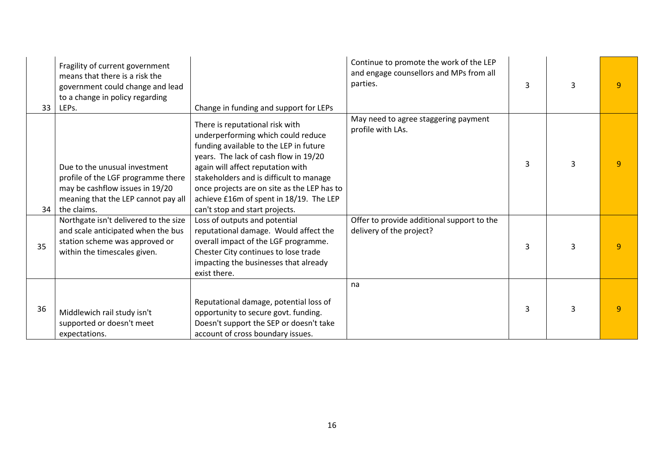| 33 | Fragility of current government<br>means that there is a risk the<br>government could change and lead<br>to a change in policy regarding<br>LEPs.            | Change in funding and support for LEPs                                                                                                                                                                                                                                                                                                                               | Continue to promote the work of the LEP<br>and engage counsellors and MPs from all<br>parties. | 3 | 3 | 9 |
|----|--------------------------------------------------------------------------------------------------------------------------------------------------------------|----------------------------------------------------------------------------------------------------------------------------------------------------------------------------------------------------------------------------------------------------------------------------------------------------------------------------------------------------------------------|------------------------------------------------------------------------------------------------|---|---|---|
| 34 | Due to the unusual investment<br>profile of the LGF programme there<br>may be cashflow issues in 19/20<br>meaning that the LEP cannot pay all<br>the claims. | There is reputational risk with<br>underperforming which could reduce<br>funding available to the LEP in future<br>years. The lack of cash flow in 19/20<br>again will affect reputation with<br>stakeholders and is difficult to manage<br>once projects are on site as the LEP has to<br>achieve £16m of spent in 18/19. The LEP<br>can't stop and start projects. | May need to agree staggering payment<br>profile with LAs.                                      | 3 | 3 | 9 |
| 35 | Northgate isn't delivered to the size<br>and scale anticipated when the bus<br>station scheme was approved or<br>within the timescales given.                | Loss of outputs and potential<br>reputational damage. Would affect the<br>overall impact of the LGF programme.<br>Chester City continues to lose trade<br>impacting the businesses that already<br>exist there.                                                                                                                                                      | Offer to provide additional support to the<br>delivery of the project?                         | 3 | 3 | 9 |
| 36 | Middlewich rail study isn't<br>supported or doesn't meet<br>expectations.                                                                                    | Reputational damage, potential loss of<br>opportunity to secure govt. funding.<br>Doesn't support the SEP or doesn't take<br>account of cross boundary issues.                                                                                                                                                                                                       | na                                                                                             | 3 | 3 | 9 |